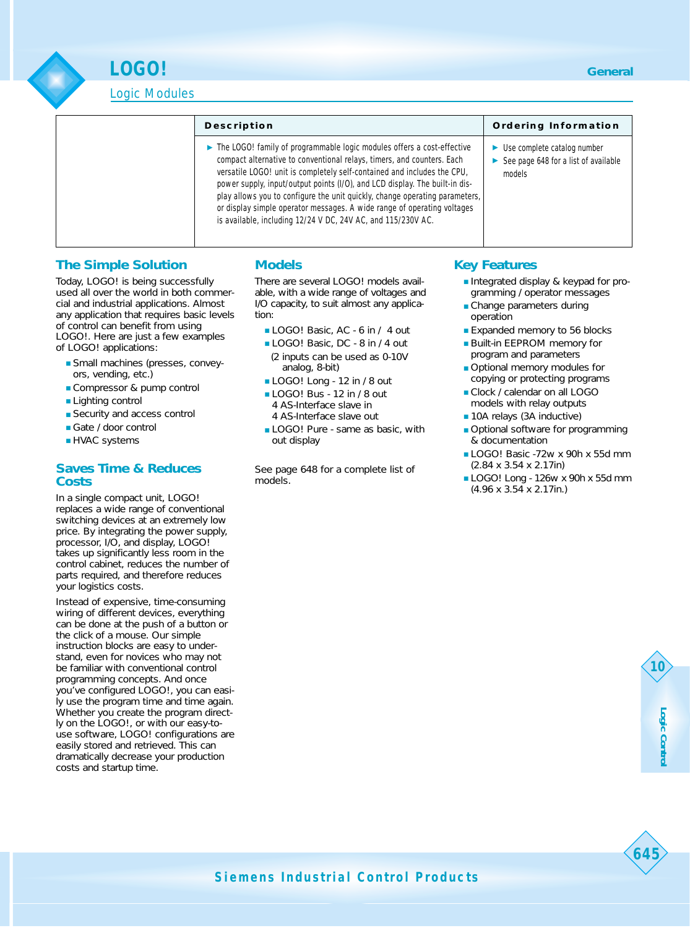Logic Modules

**LOGO!**

#### **Description**

▶ The LOGO! family of programmable logic modules offers a cost-effective compact alternative to conventional relays, timers, and counters. Each versatile LOGO! unit is completely self-contained and includes the CPU, power supply, input/output points (I/O), and LCD display. The built-in display allows you to configure the unit quickly, change operating parameters, or display simple operator messages. A wide range of operating voltages is available, including 12/24 V DC, 24V AC, and 115/230V AC.

#### **Ordering Information**

- ► Use complete catalog number
- ► See page 648 for a list of available models

# **The Simple Solution**

Today, LOGO! is being successfully used all over the world in both commercial and industrial applications. Almost any application that requires basic levels of control can benefit from using LOGO!. Here are just a few examples

of LOGO! applications:

- Small machines (presses, conveyors, vending, etc.)
- Compressor & pump control
- Lighting control
- Security and access control
- Gate / door control
- HVAC systems

## **Saves Time & Reduces Costs**

In a single compact unit, LOGO! replaces a wide range of conventional switching devices at an extremely low price. By integrating the power supply, processor, I/O, and display, LOGO! takes up significantly less room in the control cabinet, reduces the number of parts required, and therefore reduces your logistics costs.

Instead of expensive, time-consuming wiring of different devices, everything can be done at the push of a button or the click of a mouse. Our simple instruction blocks are easy to understand, even for novices who may not be familiar with conventional control programming concepts. And once you've configured LOGO!, you can easily use the program time and time again. Whether you create the program directly on the LOGO!, or with our easy-touse software, LOGO! configurations are easily stored and retrieved. This can dramatically decrease your production costs and startup time.

# **Models**

There are several LOGO! models available, with a wide range of voltages and I/O capacity, to suit almost any application:

- LOGO! Basic, AC 6 in / 4 out
- LOGO! Basic, DC 8 in / 4 out (2 inputs can be used as 0-10V analog, 8-bit)
- LOGO! Long 12 in / 8 out
- LOGO! Bus 12 in / 8 out 4 AS-Interface slave in
- 4 AS-Interface slave out
- LOGO! Pure same as basic, with out display

See page 648 for a complete list of models.

# **Key Features**

- Integrated display & keypad for programming / operator messages
- Change parameters during operation
- Expanded memory to 56 blocks
- Built-in EEPROM memory for program and parameters
- Optional memory modules for copying or protecting programs
- Clock / calendar on all LOGO models with relay outputs
- 10A relays (3A inductive)
- Optional software for programming & documentation
- LOGO! Basic -72w x 90h x 55d mm (2.84 x 3.54 x 2.17in)
- LOGO! Long 126w x 90h x 55d mm (4.96 x 3.54 x 2.17in.)

**10**

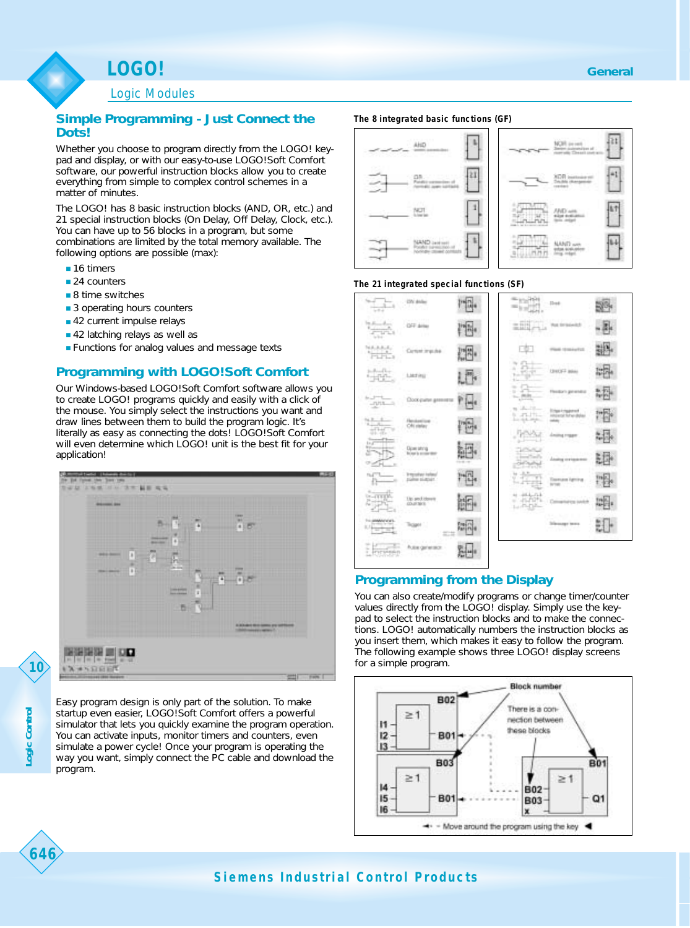Logic Modules

## **Simple Programming - Just Connect the Dots!**

Whether you choose to program directly from the LOGO! keypad and display, or with our easy-to-use LOGO!Soft Comfort software, our powerful instruction blocks allow you to create everything from simple to complex control schemes in a matter of minutes.

The LOGO! has 8 basic instruction blocks (AND, OR, etc.) and 21 special instruction blocks (On Delay, Off Delay, Clock, etc.). You can have up to 56 blocks in a program, but some combinations are limited by the total memory available. The following options are possible (max):

- 16 timers
- 24 counters
- 8 time switches
- 3 operating hours counters
- 42 current impulse relays
- 42 latching relays as well as
- Functions for analog values and message texts

## **Programming with LOGO!Soft Comfort**

Our Windows-based LOGO!Soft Comfort software allows you to create LOGO! programs quickly and easily with a click of the mouse. You simply select the instructions you want and draw lines between them to build the program logic. It's literally as easy as connecting the dots! LOGO!Soft Comfort will even determine which LOGO! unit is the best fit for your application!



Easy program design is only part of the solution. To make startup even easier, LOGO!Soft Comfort offers a powerful simulator that lets you quickly examine the program operation. You can activate inputs, monitor timers and counters, even simulate a power cycle! Once your program is operating the way you want, simply connect the PC cable and download the program.

#### **The 8 integrated basic functions (GF)**



#### **The 21 integrated special functions (SF)**



## **Programming from the Display**

You can also create/modify programs or change timer/counter values directly from the LOGO! display. Simply use the keypad to select the instruction blocks and to make the connections. LOGO! automatically numbers the instruction blocks as you insert them, which makes it easy to follow the program. The following example shows three LOGO! display screens for a simple program.



**10**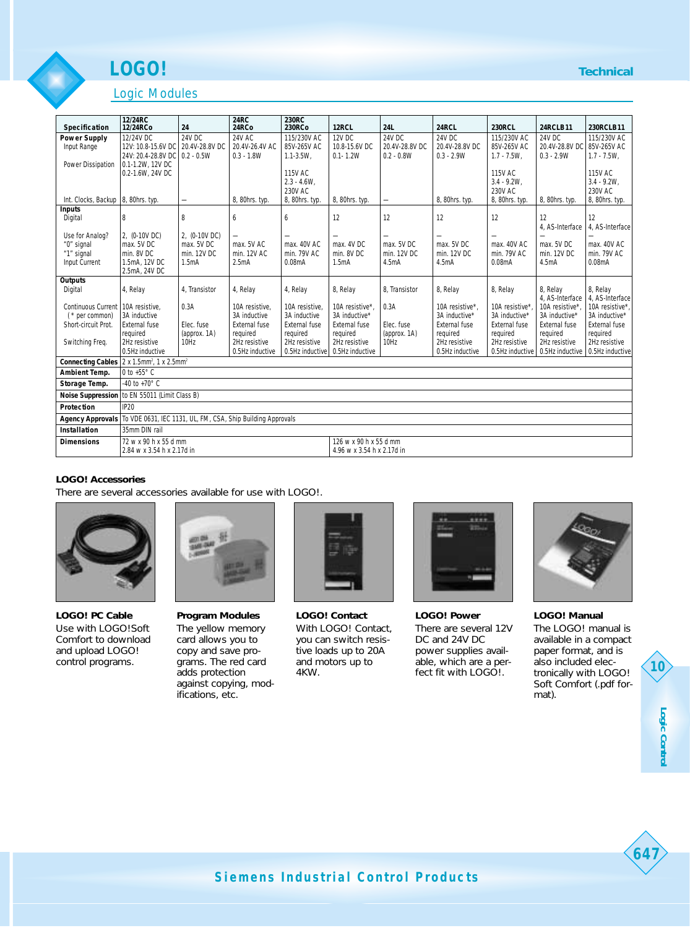# **LOGO!**

# Logic Modules

| Specification                        | 12/24RC<br>12/24RCo                                                      | 24                               | <b>24RC</b><br>24RCo      | <b>230RC</b><br><b>230RCo</b> | 12RCL                     | <b>24L</b>                       | 24RCL                     | <b>230RCL</b>             | <b>24RCLB11</b>           | 230RCLB11                 |
|--------------------------------------|--------------------------------------------------------------------------|----------------------------------|---------------------------|-------------------------------|---------------------------|----------------------------------|---------------------------|---------------------------|---------------------------|---------------------------|
| <b>Power Supply</b>                  | 12/24V DC                                                                | 24V DC                           | <b>24V AC</b>             | 115/230V AC                   | 12V DC                    | 24V DC                           | 24V DC                    | 115/230V AC               | 24V DC                    | 115/230V AC               |
| Input Range                          | 12V: 10.8-15.6V DC                                                       | 20.4V-28.8V DC                   | 20.4V-26.4V AC            | 85V-265V AC                   | 10.8-15.6V DC             | 20.4V-28.8V DC                   | 20.4V-28.8V DC            | 85V-265V AC               | 20.4V-28.8V DC            | 85V-265V AC               |
|                                      | 24V: 20.4-28.8V DC                                                       | $0.2 - 0.5W$                     | $0.3 - 1.8W$              | $1.1 - 3.5W$ .                | $0.1 - 1.2W$              | $0.2 - 0.8W$                     | $0.3 - 2.9W$              | $1.7 - 7.5W$ .            | $0.3 - 2.9W$              | $1.7 - 7.5W$ .            |
| Power Dissipation                    | 0.1-1.2W, 12V DC                                                         |                                  |                           |                               |                           |                                  |                           |                           |                           |                           |
|                                      | 0.2-1.6W, 24V DC                                                         |                                  |                           | 115V AC<br>$2.3 - 4.6W$ .     |                           |                                  |                           | 115V AC<br>$3.4 - 9.2W$ . |                           | 115V AC<br>$3.4 - 9.2W$ . |
|                                      |                                                                          |                                  |                           | 230V AC                       |                           |                                  |                           | 230V AC                   |                           | 230V AC                   |
| Int. Clocks, Backup   8, 80hrs. typ. |                                                                          | $\overline{\phantom{0}}$         | 8, 80hrs. typ.            | 8, 80hrs. typ.                | 8, 80hrs. typ.            |                                  | 8, 80hrs. typ.            | 8, 80hrs. typ.            | 8, 80hrs. typ.            | 8, 80hrs. typ.            |
| <b>Inputs</b>                        |                                                                          |                                  |                           |                               |                           |                                  |                           |                           |                           |                           |
| Digital                              | 8                                                                        | 8                                | 6                         | 6                             | 12                        | 12                               | 12                        | 12                        | 12                        | 12                        |
| Use for Analog?                      | 2, (0-10V DC)                                                            | 2, (0-10V DC)                    |                           | $\overline{\phantom{0}}$      |                           |                                  | $\overline{\phantom{0}}$  |                           | 4. AS-Interface           | 4. AS-Interface           |
| "0" signal                           | max. 5V DC                                                               | max. 5V DC                       | max. 5V AC                | max. 40V AC                   | max. 4V DC                | max. 5V DC                       | max. 5V DC                | max. 40V AC               | max. 5V DC                | max. 40V AC               |
| "1" signal                           | min. 8V DC                                                               | min. 12V DC                      | min. 12V AC               | min. 79V AC                   | min. 8V DC                | min. 12V DC                      | min. 12V DC               | min. 79V AC               | min. 12V DC               | min. 79V AC               |
| Input Current                        | 1.5mA, 12V DC                                                            | 1.5mA                            | 2.5mA                     | 0.08 <sub>m</sub> A           | 1.5mA                     | 4.5mA                            | 4.5mA                     | 0.08 <sub>m</sub> A       | 4.5mA                     | 0.08 <sub>m</sub> A       |
|                                      | 2.5mA, 24V DC                                                            |                                  |                           |                               |                           |                                  |                           |                           |                           |                           |
| Outputs<br>Digital                   | 4, Relay                                                                 | 4. Transistor                    | 4, Relay                  | 4, Relay                      | 8, Relay                  | 8. Transistor                    | 8, Relay                  | 8, Relay                  | 8. Relav                  | 8, Relay                  |
|                                      |                                                                          |                                  |                           |                               |                           |                                  |                           |                           | 4. AS-Interface           | 4, AS-Interface           |
| Continuous Current                   | 10A resistive.                                                           | 0.3A                             | 10A resistive.            | 10A resistive.                | 10A resistive*.           | 0.3A                             | 10A resistive*.           | 10A resistive*            | 10A resistive*            | 10A resistive*.           |
| $(*$ per common)                     | 3A inductive                                                             |                                  | 3A inductive              | 3A inductive                  | 3A inductive*             |                                  | 3A inductive*             | 3A inductive*             | 3A inductive*             | 3A inductive*             |
| Short-circuit Prot.                  | External fuse                                                            | Flec. fuse                       | External fuse             | <b>External fuse</b>          | <b>External fuse</b>      | Elec. fuse                       | External fuse             | <b>External fuse</b>      | <b>External fuse</b>      | External fuse             |
| Switching Freg.                      | required<br>2Hz resistive                                                | (approx. 1A)<br>10H <sub>7</sub> | required<br>2Hz resistive | required<br>2Hz resistive     | required<br>2Hz resistive | (approx. 1A)<br>10H <sub>7</sub> | required<br>2Hz resistive | required<br>2Hz resistive | required<br>2Hz resistive | required<br>2Hz resistive |
|                                      | 0.5Hz inductive                                                          |                                  | 0.5Hz inductive           | 0.5Hz inductive               | 0.5Hz inductive           |                                  | 0.5Hz inductive           | 0.5Hz inductive           | 0.5Hz inductive           | 0.5Hz inductive           |
|                                      | <b>Connecting Cables</b> 2 x 1.5mm <sup>2</sup> , 1 x 2.5mm <sup>2</sup> |                                  |                           |                               |                           |                                  |                           |                           |                           |                           |
| <b>Ambient Temp.</b>                 | 0 to +55° C                                                              |                                  |                           |                               |                           |                                  |                           |                           |                           |                           |
| Storage Temp.                        | $-40$ to $+70^{\circ}$ C                                                 |                                  |                           |                               |                           |                                  |                           |                           |                           |                           |
| Noise Suppression                    | to EN 55011 (Limit Class B)                                              |                                  |                           |                               |                           |                                  |                           |                           |                           |                           |
| Protection                           | <b>IP20</b>                                                              |                                  |                           |                               |                           |                                  |                           |                           |                           |                           |
| <b>Agency Approvals</b>              | To VDE 0631, IEC 1131, UL, FM, CSA, Ship Building Approvals              |                                  |                           |                               |                           |                                  |                           |                           |                           |                           |
| Installation                         | 35mm DIN rail                                                            |                                  |                           |                               |                           |                                  |                           |                           |                           |                           |
| <b>Dimensions</b>                    | 72 w x 90 h x 55 d mm                                                    |                                  |                           |                               | 126 w x 90 h x 55 d mm    |                                  |                           |                           |                           |                           |
|                                      | 2.84 w x 3.54 h x 2.17d in<br>4.96 w x 3.54 h x 2.17d in                 |                                  |                           |                               |                           |                                  |                           |                           |                           |                           |

#### **LOGO! Accessories**

There are several accessories available for use with LOGO!.



**LOGO! PC Cable** Use with LOGO!Soft Comfort to download and upload LOGO! control programs.



**Program Modules** The yellow memory card allows you to copy and save programs. The red card adds protection against copying, modifications, etc.



**LOGO! Contact** With LOGO! Contact, you can switch resistive loads up to 20A and motors up to 4KW.



**LOGO! Power** There are several 12V DC and 24V DC power supplies available, which are a perfect fit with LOGO!.



**LOGO! Manual** The LOGO! manual is

available in a compact paper format, and is also included electronically with LOGO! Soft Comfort (.pdf format).

**10**